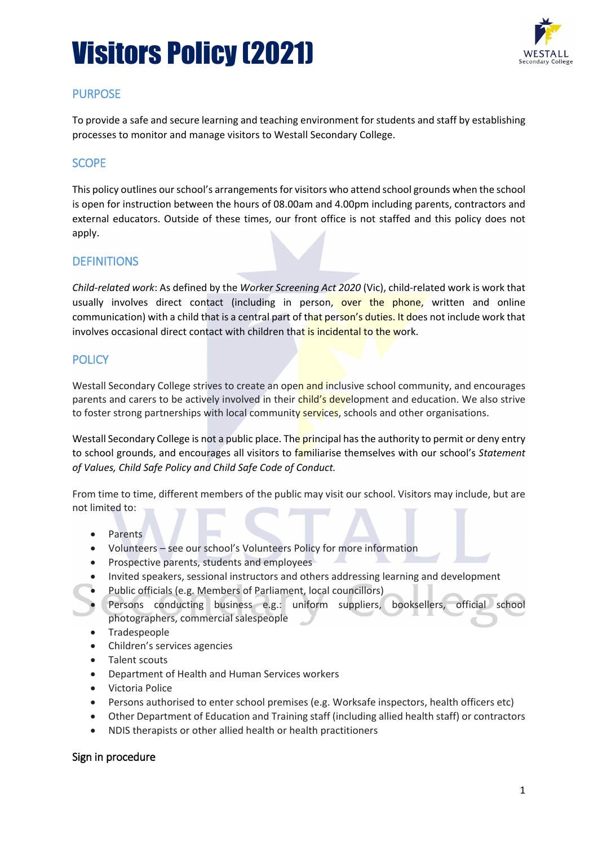

## **PURPOSE**

To provide a safe and secure learning and teaching environment for students and staff by establishing processes to monitor and manage visitors to Westall Secondary College.

# **SCOPE**

This policy outlines our school's arrangements for visitors who attend school grounds when the school is open for instruction between the hours of 08.00am and 4.00pm including parents, contractors and external educators. Outside of these times, our front office is not staffed and this policy does not apply.

### **DEFINITIONS**

*Child-related work*: As defined by the *Worker Screening Act 2020* (Vic), child-related work is work that usually involves direct contact (including in person, over the phone, written and online communication) with a child that is a central part of that person's duties. It does not include work that involves occasional direct contact with children that is incidental to the work.

# **POLICY**

Westall Secondary College strives to create an open and inclusive school community, and encourages parents and carers to be actively involved in their *child's development and education*. We also strive to foster strong partnerships with local community services, schools and other organisations.

Westall Secondary College is not a public place. The principal has the authority to permit or deny entry to school grounds, and encourages all visitors to familiarise themselves with our school's *Statement of Values, Child Safe Policy and Child Safe Code of Conduct.*

From time to time, different members of the public may visit our school. Visitors may include, but are not limited to:

- Parents
- Volunteers see our school's Volunteers Policy for more information
- Prospective parents, students and employees
- Invited speakers, sessional instructors and others addressing learning and development
- Public officials (e.g. Members of Parliament, local councillors)
- Persons conducting business e.g.: uniform suppliers, booksellers, official school photographers, commercial salespeople
- Tradespeople
- Children's services agencies
- Talent scouts
- Department of Health and Human Services workers
- Victoria Police
- Persons authorised to enter school premises (e.g. Worksafe inspectors, health officers etc)
- Other Department of Education and Training staff (including allied health staff) or contractors
- NDIS therapists or other allied health or health practitioners

### Sign in procedure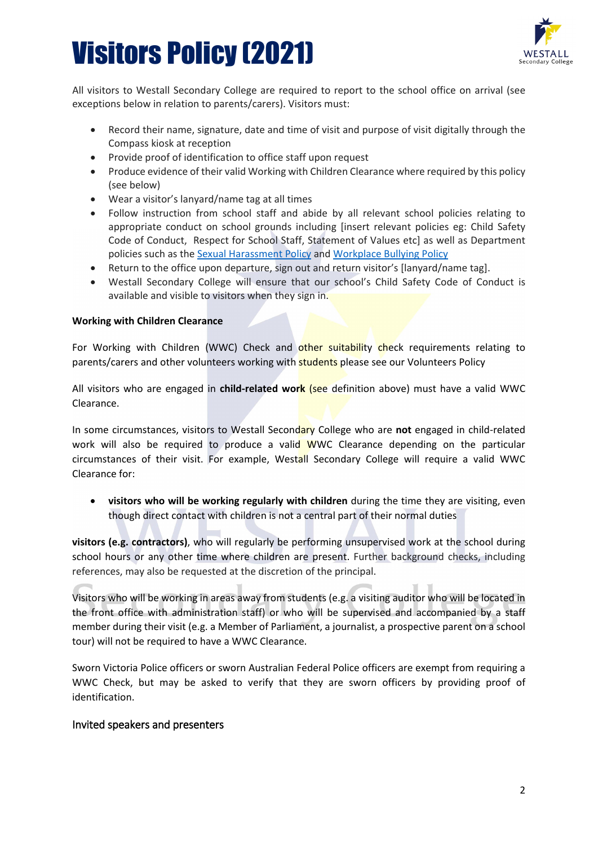

All visitors to Westall Secondary College are required to report to the school office on arrival (see exceptions below in relation to parents/carers). Visitors must:

- Record their name, signature, date and time of visit and purpose of visit digitally through the Compass kiosk at reception
- Provide proof of identification to office staff upon request
- Produce evidence of their valid Working with Children Clearance where required by this policy (see below)
- Wear a visitor's lanyard/name tag at all times
- Follow instruction from school staff and abide by all relevant school policies relating to appropriate conduct on school grounds including [insert relevant policies eg: Child Safety Code of Conduct, Respect for School Staff, Statement of Values etc] as well as Department policies such as the [Sexual Harassment Policy](https://www2.education.vic.gov.au/pal/sexual-harassment/overview) and [Workplace Bullying Policy](https://www2.education.vic.gov.au/pal/workplace-bullying/policy)
- Return to the office upon departure, sign out and return visitor's [lanyard/name tag].
- Westall Secondary College will ensure that our school's Child Safety Code of Conduct is available and visible to visitors when they sign in.

#### **Working with Children Clearance**

For Working with Children (WWC) Check and other suitability check requirements relating to parents/carers and other volunteers working with **students** please see our Volunteers Policy

All visitors who are engaged in **child-related work** (see definition above) must have a valid WWC Clearance.

In some circumstances, visitors to Westall Secondary College who are **not** engaged in child-related work will also be required to produce a valid WWC Clearance depending on the particular circumstances of their visit. For example, Westall Secondary College will require a valid WWC Clearance for:

• **visitors who will be working regularly with children** during the time they are visiting, even though direct contact with children is not a central part of their normal duties

**visitors (e.g. contractors)**, who will regularly be performing unsupervised work at the school during school hours or any other time where children are present. Further background checks, including references, may also be requested at the discretion of the principal.

Visitors who will be working in areas away from students (e.g. a visiting auditor who will be located in the front office with administration staff) or who will be supervised and accompanied by a staff member during their visit (e.g. a Member of Parliament, a journalist, a prospective parent on a school tour) will not be required to have a WWC Clearance.

Sworn Victoria Police officers or sworn Australian Federal Police officers are exempt from requiring a WWC Check, but may be asked to verify that they are sworn officers by providing proof of identification.

#### Invited speakers and presenters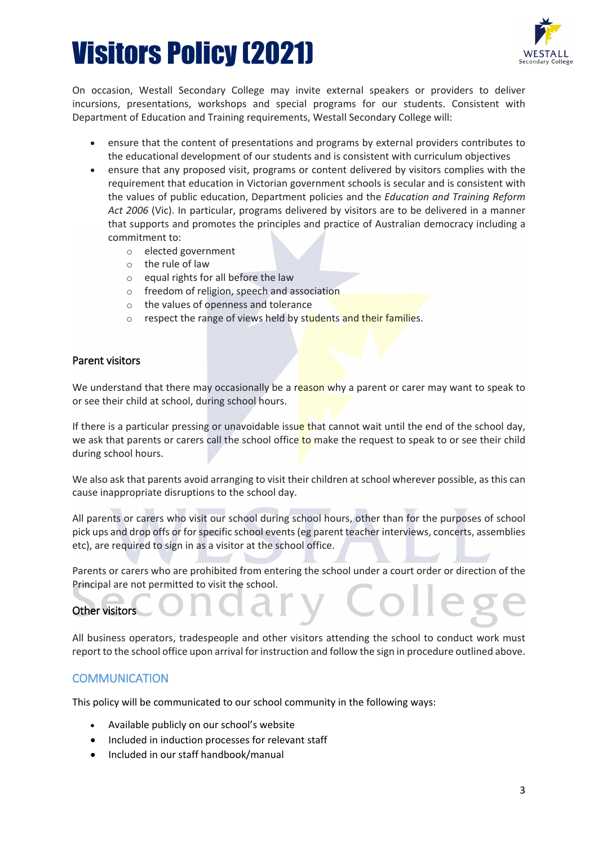

On occasion, Westall Secondary College may invite external speakers or providers to deliver incursions, presentations, workshops and special programs for our students. Consistent with Department of Education and Training requirements, Westall Secondary College will:

- ensure that the content of presentations and programs by external providers contributes to the educational development of our students and is consistent with curriculum objectives
- ensure that any proposed visit, programs or content delivered by visitors complies with the requirement that education in Victorian government schools is secular and is consistent with the values of public education, Department policies and the *Education and Training Reform Act 2006* (Vic). In particular, programs delivered by visitors are to be delivered in a manner that supports and promotes the principles and practice of Australian democracy including a commitment to:
	- o elected government
	- o the rule of law
	- equal rights for all before the law
	- o freedom of religion, speech and association
	- o the values of openness and tolerance
	- $\circ$  respect the range of views held by students and their families.

#### Parent visitors

We understand that there may occasionally be a reason why a parent or carer may want to speak to or see their child at school, during school hours.

If there is a particular pressing or unavoidable issue that cannot wait until the end of the school day, we ask that parents or carers call the school office to make the request to speak to or see their child during school hours.

We also ask that parents avoid arranging to visit their children at school wherever possible, as this can cause inappropriate disruptions to the school day.

All parents or carers who visit our school during school hours, other than for the purposes of school pick ups and drop offs or for specific school events (eg parent teacher interviews, concerts, assemblies etc), are required to sign in as a visitor at the school office.

Parents or carers who are prohibited from entering the school under a court order or direction of the Principal are not permitted to visit the school.

### Other visitors

All business operators, tradespeople and other visitors attending the school to conduct work must report to the school office upon arrival for instruction and follow the sign in procedure outlined above.

### **COMMUNICATION**

This policy will be communicated to our school community in the following ways:

- Available publicly on our school's website
- Included in induction processes for relevant staff
- Included in our staff handbook/manual